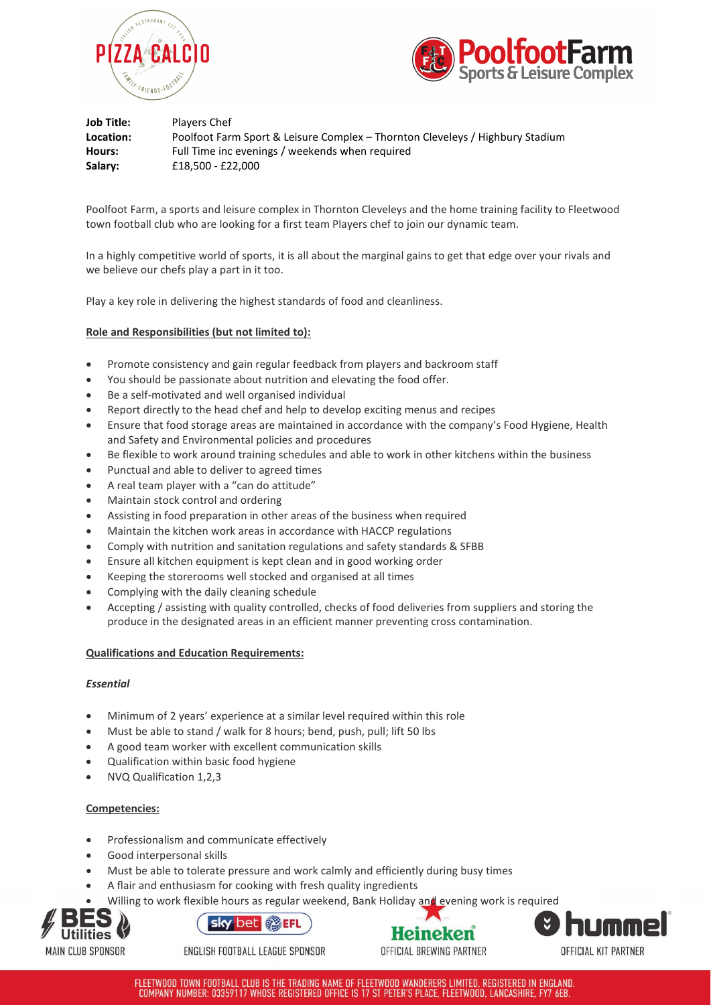



| Job Title: | Players Chef                                                                  |
|------------|-------------------------------------------------------------------------------|
| Location:  | Poolfoot Farm Sport & Leisure Complex - Thornton Cleveleys / Highbury Stadium |
| Hours:     | Full Time inc evenings / weekends when required                               |
| Salary:    | £18.500 - £22.000                                                             |

Poolfoot Farm, a sports and leisure complex in Thornton Cleveleys and the home training facility to Fleetwood town football club who are looking for a first team Players chef to join our dynamic team.

In a highly competitive world of sports, it is all about the marginal gains to get that edge over your rivals and we believe our chefs play a part in it too.

Play a key role in delivering the highest standards of food and cleanliness.

## **Role and Responsibilities (but not limited to):**

- Promote consistency and gain regular feedback from players and backroom staff
- You should be passionate about nutrition and elevating the food offer.
- Be a self-motivated and well organised individual
- Report directly to the head chef and help to develop exciting menus and recipes
- Ensure that food storage areas are maintained in accordance with the company's Food Hygiene, Health and Safety and Environmental policies and procedures
- Be flexible to work around training schedules and able to work in other kitchens within the business
- Punctual and able to deliver to agreed times
- A real team player with a "can do attitude"
- Maintain stock control and ordering
- Assisting in food preparation in other areas of the business when required
- Maintain the kitchen work areas in accordance with HACCP regulations
- Comply with nutrition and sanitation regulations and safety standards & SFBB
- Ensure all kitchen equipment is kept clean and in good working order
- Keeping the storerooms well stocked and organised at all times
- Complying with the daily cleaning schedule
- Accepting / assisting with quality controlled, checks of food deliveries from suppliers and storing the produce in the designated areas in an efficient manner preventing cross contamination.

### **Qualifications and Education Requirements:**

### *Essential*

- Minimum of 2 years' experience at a similar level required within this role
- Must be able to stand / walk for 8 hours; bend, push, pull; lift 50 lbs
- A good team worker with excellent communication skills
- Qualification within basic food hygiene
- NVQ Qualification 1,2,3

# **Competencies:**

- Professionalism and communicate effectively
- Good interpersonal skills
- Must be able to tolerate pressure and work calmly and efficiently during busy times
- A flair and enthusiasm for cooking with fresh quality ingredients
- Willing to work flexible hours as regular weekend, Bank Holiday and evening work is required





ENGLISH FOOTBALL LEAGUE SPONSOR